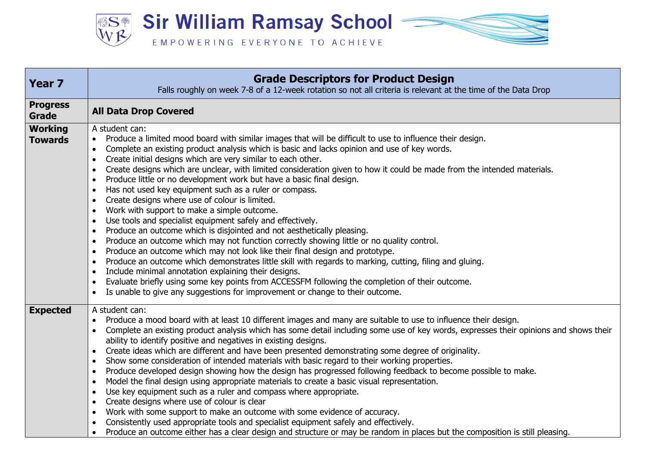

| <b>Year 7</b>                    | <b>Grade Descriptors for Product Design</b><br>Falls roughly on week 7-8 of a 12-week rotation so not all criteria is relevant at the time of the Data Drop                                                                                                                                                                                                                                                                                                                                                                                                                                                                                                                                                                                                                                                                                                                                                                                                                                                                                                                                                                                                                                                                                                                                                                                                                                                                                                                                                                              |
|----------------------------------|------------------------------------------------------------------------------------------------------------------------------------------------------------------------------------------------------------------------------------------------------------------------------------------------------------------------------------------------------------------------------------------------------------------------------------------------------------------------------------------------------------------------------------------------------------------------------------------------------------------------------------------------------------------------------------------------------------------------------------------------------------------------------------------------------------------------------------------------------------------------------------------------------------------------------------------------------------------------------------------------------------------------------------------------------------------------------------------------------------------------------------------------------------------------------------------------------------------------------------------------------------------------------------------------------------------------------------------------------------------------------------------------------------------------------------------------------------------------------------------------------------------------------------------|
| <b>Progress</b><br>Grade         | <b>All Data Drop Covered</b>                                                                                                                                                                                                                                                                                                                                                                                                                                                                                                                                                                                                                                                                                                                                                                                                                                                                                                                                                                                                                                                                                                                                                                                                                                                                                                                                                                                                                                                                                                             |
| <b>Working</b><br><b>Towards</b> | A student can:<br>Produce a limited mood board with similar images that will be difficult to use to influence their design.<br>$\bullet$<br>Complete an existing product analysis which is basic and lacks opinion and use of key words.<br>$\bullet$<br>Create initial designs which are very similar to each other.<br>$\bullet$<br>Create designs which are unclear, with limited consideration given to how it could be made from the intended materials.<br>$\bullet$<br>Produce little or no development work but have a basic final design.<br>$\bullet$<br>Has not used key equipment such as a ruler or compass.<br>$\bullet$<br>Create designs where use of colour is limited.<br>$\bullet$<br>Work with support to make a simple outcome.<br>$\bullet$<br>Use tools and specialist equipment safely and effectively.<br>$\bullet$<br>Produce an outcome which is disjointed and not aesthetically pleasing.<br>$\bullet$<br>Produce an outcome which may not function correctly showing little or no quality control.<br>$\bullet$<br>Produce an outcome which may not look like their final design and prototype.<br>$\bullet$<br>Produce an outcome which demonstrates little skill with regards to marking, cutting, filing and gluing.<br>$\bullet$<br>Include minimal annotation explaining their designs.<br>$\bullet$<br>Evaluate briefly using some key points from ACCESSFM following the completion of their outcome.<br>$\bullet$<br>Is unable to give any suggestions for improvement or change to their outcome. |
| <b>Expected</b>                  | A student can:<br>Produce a mood board with at least 10 different images and many are suitable to use to influence their design.<br>Complete an existing product analysis which has some detail including some use of key words, expresses their opinions and shows their<br>ability to identify positive and negatives in existing designs.<br>Create ideas which are different and have been presented demonstrating some degree of originality.<br>$\bullet$<br>Show some consideration of intended materials with basic regard to their working properties.<br>$\bullet$<br>Produce developed design showing how the design has progressed following feedback to become possible to make.<br>$\bullet$<br>Model the final design using appropriate materials to create a basic visual representation.<br>$\bullet$<br>Use key equipment such as a ruler and compass where appropriate.<br>$\bullet$<br>Create designs where use of colour is clear<br>$\bullet$<br>Work with some support to make an outcome with some evidence of accuracy.<br>$\bullet$<br>Consistently used appropriate tools and specialist equipment safely and effectively.<br>$\bullet$<br>Produce an outcome either has a clear design and structure or may be random in places but the composition is still pleasing.                                                                                                                                                                                                                                       |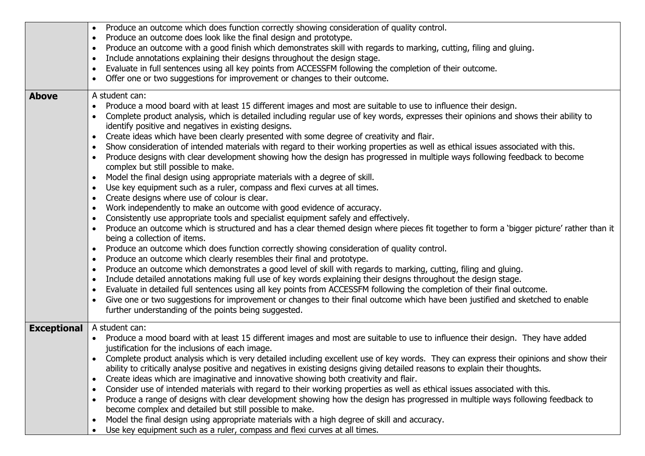|                    | Produce an outcome which does function correctly showing consideration of quality control.<br>Produce an outcome does look like the final design and prototype.<br>Produce an outcome with a good finish which demonstrates skill with regards to marking, cutting, filing and gluing.<br>٠<br>Include annotations explaining their designs throughout the design stage.<br>$\bullet$<br>Evaluate in full sentences using all key points from ACCESSFM following the completion of their outcome.<br>$\bullet$<br>Offer one or two suggestions for improvement or changes to their outcome.<br>$\bullet$                                                                                                                                                                                                                                                                                                                                                                                                                                                                                                                                                                                                                                                                                                                                                                                                                                                                                                                                                                                                                                                                                                                                                                                                                                                                                                                                                                                                                                                                                                                                                       |
|--------------------|----------------------------------------------------------------------------------------------------------------------------------------------------------------------------------------------------------------------------------------------------------------------------------------------------------------------------------------------------------------------------------------------------------------------------------------------------------------------------------------------------------------------------------------------------------------------------------------------------------------------------------------------------------------------------------------------------------------------------------------------------------------------------------------------------------------------------------------------------------------------------------------------------------------------------------------------------------------------------------------------------------------------------------------------------------------------------------------------------------------------------------------------------------------------------------------------------------------------------------------------------------------------------------------------------------------------------------------------------------------------------------------------------------------------------------------------------------------------------------------------------------------------------------------------------------------------------------------------------------------------------------------------------------------------------------------------------------------------------------------------------------------------------------------------------------------------------------------------------------------------------------------------------------------------------------------------------------------------------------------------------------------------------------------------------------------------------------------------------------------------------------------------------------------|
| <b>Above</b>       | A student can:<br>Produce a mood board with at least 15 different images and most are suitable to use to influence their design.<br>Complete product analysis, which is detailed including regular use of key words, expresses their opinions and shows their ability to<br>identify positive and negatives in existing designs.<br>Create ideas which have been clearly presented with some degree of creativity and flair.<br>$\bullet$<br>Show consideration of intended materials with regard to their working properties as well as ethical issues associated with this.<br>Produce designs with clear development showing how the design has progressed in multiple ways following feedback to become<br>complex but still possible to make.<br>Model the final design using appropriate materials with a degree of skill.<br>$\bullet$<br>Use key equipment such as a ruler, compass and flexi curves at all times.<br>$\bullet$<br>Create designs where use of colour is clear.<br>$\bullet$<br>Work independently to make an outcome with good evidence of accuracy.<br>٠<br>Consistently use appropriate tools and specialist equipment safely and effectively.<br>Produce an outcome which is structured and has a clear themed design where pieces fit together to form a 'bigger picture' rather than it<br>being a collection of items.<br>Produce an outcome which does function correctly showing consideration of quality control.<br>$\bullet$<br>Produce an outcome which clearly resembles their final and prototype.<br>٠<br>Produce an outcome which demonstrates a good level of skill with regards to marking, cutting, filing and gluing.<br>$\bullet$<br>Include detailed annotations making full use of key words explaining their designs throughout the design stage.<br>$\bullet$<br>Evaluate in detailed full sentences using all key points from ACCESSFM following the completion of their final outcome.<br>$\bullet$<br>Give one or two suggestions for improvement or changes to their final outcome which have been justified and sketched to enable<br>$\bullet$<br>further understanding of the points being suggested. |
| <b>Exceptional</b> | A student can:<br>Produce a mood board with at least 15 different images and most are suitable to use to influence their design. They have added<br>justification for the inclusions of each image.<br>Complete product analysis which is very detailed including excellent use of key words. They can express their opinions and show their<br>ability to critically analyse positive and negatives in existing designs giving detailed reasons to explain their thoughts.<br>Create ideas which are imaginative and innovative showing both creativity and flair.<br>$\bullet$<br>Consider use of intended materials with regard to their working properties as well as ethical issues associated with this.<br>٠<br>Produce a range of designs with clear development showing how the design has progressed in multiple ways following feedback to<br>$\bullet$<br>become complex and detailed but still possible to make.<br>Model the final design using appropriate materials with a high degree of skill and accuracy.<br>$\bullet$<br>Use key equipment such as a ruler, compass and flexi curves at all times.<br>$\bullet$                                                                                                                                                                                                                                                                                                                                                                                                                                                                                                                                                                                                                                                                                                                                                                                                                                                                                                                                                                                                                           |